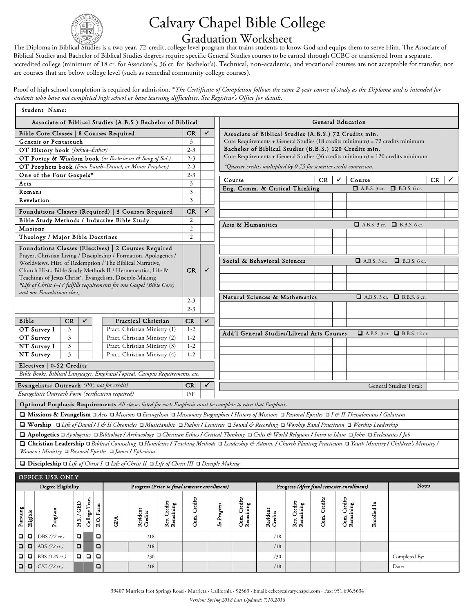

## Calvary Chapel Bible College

 $Graduation-Worksheet$  The Diploma in Biblical Studies is a two-year, 72-credit, college-level program that trains students to know God and equips them to serve Him. The Associate of Biblical Studies and Bachelor of Biblical Studies degrees require specific General Studies courses to be earned through CCBC or transferred from a separate, accredited college (minimum of 18 cr. for Associate's, 36 cr. for Bachelor's). Technical, non-academic, and vocational courses are not acceptable for transfer, nor are courses that are below college level (such as remedial community college courses).

Proof of high school completion is required for admission. \**The Certificate of Completion follows the same 2-year course of study as the Diploma and is intended for students who have not completed high school or have learning difficulties. See Registrar's Office for details.*

| Student Name:                                                                                                                                                                  |                                                                                                                                                                         |                               |           |                                                                |                     |                           |                                                        |                                |             |                           |                                                                     |                           |                                                                               |                                            |                     |                                                                                |    |              |
|--------------------------------------------------------------------------------------------------------------------------------------------------------------------------------|-------------------------------------------------------------------------------------------------------------------------------------------------------------------------|-------------------------------|-----------|----------------------------------------------------------------|---------------------|---------------------------|--------------------------------------------------------|--------------------------------|-------------|---------------------------|---------------------------------------------------------------------|---------------------------|-------------------------------------------------------------------------------|--------------------------------------------|---------------------|--------------------------------------------------------------------------------|----|--------------|
| Associate of Biblical Studies (A.B.S.) Bachelor of Biblical                                                                                                                    |                                                                                                                                                                         |                               |           |                                                                |                     |                           |                                                        |                                |             |                           |                                                                     |                           | General Education                                                             |                                            |                     |                                                                                |    |              |
| Bible Core Classes   8 Courses Required                                                                                                                                        |                                                                                                                                                                         |                               |           | CR                                                             | ✓                   |                           | Associate of Biblical Studies (A.B.S.) 72 Credits min. |                                |             |                           |                                                                     |                           |                                                                               |                                            |                     |                                                                                |    |              |
| Genesis or Pentateuch                                                                                                                                                          |                                                                                                                                                                         |                               |           | 3<br>$2 - 3$                                                   |                     |                           |                                                        |                                |             |                           |                                                                     |                           | Core Requirements + General Studies (18 credits minimum) = 72 credits minimum |                                            |                     |                                                                                |    |              |
| OT History book (Joshua-Esther)                                                                                                                                                |                                                                                                                                                                         |                               |           |                                                                |                     |                           |                                                        |                                |             |                           | Bachelor of Biblical Studies (B.B.S.) 120 Credits min.              |                           |                                                                               |                                            |                     |                                                                                |    |              |
| OT Poetry & Wisdom book (or Ecclesiastes & Song of Sol.)                                                                                                                       |                                                                                                                                                                         |                               |           |                                                                |                     |                           |                                                        |                                |             |                           |                                                                     |                           |                                                                               |                                            |                     | Core Requirements + General Studies (36 credits minimum) = 120 credits minimum |    |              |
| OT Prophets book (from Isaiah-Daniel, or Minor Prophets)                                                                                                                       |                                                                                                                                                                         |                               |           |                                                                |                     |                           |                                                        |                                |             |                           | *Quarter credits multiplied by 0.75 for semester credit conversion. |                           |                                                                               |                                            |                     |                                                                                |    |              |
| One of the Four Gospels*                                                                                                                                                       |                                                                                                                                                                         |                               |           |                                                                |                     |                           |                                                        |                                |             | Course                    |                                                                     |                           | CR                                                                            | ✓                                          | Course              |                                                                                | CR | $\checkmark$ |
| Acts<br>Romans                                                                                                                                                                 |                                                                                                                                                                         |                               |           |                                                                |                     |                           |                                                        |                                |             |                           | Eng. Comm. & Critical Thinking                                      |                           |                                                                               |                                            |                     | □ A.B.S. 3 cr. □ B.B.S. 6 cr.                                                  |    |              |
| Revelation                                                                                                                                                                     |                                                                                                                                                                         |                               |           |                                                                |                     |                           |                                                        |                                |             |                           |                                                                     |                           |                                                                               |                                            |                     |                                                                                |    |              |
|                                                                                                                                                                                |                                                                                                                                                                         |                               |           |                                                                |                     |                           |                                                        | $\checkmark$                   |             |                           |                                                                     |                           |                                                                               |                                            |                     |                                                                                |    |              |
| Foundations Classes (Required)   3 Courses Required<br>Bible Study Methods / Inductive Bible Study                                                                             |                                                                                                                                                                         |                               |           |                                                                |                     |                           |                                                        |                                |             |                           |                                                                     |                           |                                                                               |                                            |                     |                                                                                |    |              |
| <b>Missions</b>                                                                                                                                                                |                                                                                                                                                                         |                               |           |                                                                |                     |                           | $\overline{c}$<br>$\overline{2}$                       |                                |             | Arts & Humanities         |                                                                     |                           |                                                                               |                                            |                     | $\Box$ A.B.S. 3 cr. $\Box$ B.B.S. 6 cr.                                        |    |              |
| Theology / Major Bible Doctrines                                                                                                                                               |                                                                                                                                                                         |                               |           |                                                                |                     |                           |                                                        |                                |             |                           |                                                                     |                           |                                                                               |                                            |                     |                                                                                |    |              |
|                                                                                                                                                                                |                                                                                                                                                                         |                               |           |                                                                |                     |                           |                                                        |                                |             |                           |                                                                     |                           |                                                                               |                                            |                     |                                                                                |    |              |
| Foundations Classes (Electives)   2 Courses Required<br>Prayer, Christian Living / Discipleship / Formation, Apologetics /                                                     |                                                                                                                                                                         |                               |           |                                                                |                     |                           |                                                        |                                |             |                           |                                                                     |                           |                                                                               |                                            |                     |                                                                                |    |              |
| Worldviews, Hist. of Redemption / The Biblical Narrative,                                                                                                                      |                                                                                                                                                                         |                               |           |                                                                |                     |                           |                                                        |                                |             |                           | Social & Behavioral Sciences                                        |                           |                                                                               |                                            | $\Box$ A.B.S. 3 cr. | B.B.S. 6 cr.                                                                   |    |              |
| Church Hist., Bible Study Methods II / Hermeneutics, Life &                                                                                                                    |                                                                                                                                                                         |                               |           |                                                                |                     |                           |                                                        | ✓                              |             |                           |                                                                     |                           |                                                                               |                                            |                     |                                                                                |    |              |
| Teachings of Jesus Christ*, Evangelism, Disciple-Making                                                                                                                        |                                                                                                                                                                         |                               |           |                                                                |                     |                           |                                                        |                                |             |                           |                                                                     |                           |                                                                               |                                            |                     |                                                                                |    |              |
| *Life of Christ I–IV fulfills requirements for one Gospel (Bible Core)<br>and one Foundations class.                                                                           |                                                                                                                                                                         |                               |           |                                                                |                     |                           |                                                        |                                |             |                           |                                                                     |                           |                                                                               |                                            |                     |                                                                                |    |              |
|                                                                                                                                                                                |                                                                                                                                                                         |                               |           | $2 - 3$                                                        |                     |                           |                                                        | Natural Sciences & Mathematics |             |                           |                                                                     | $\Box$ A.B.S. 3 cr.       | B.B.S. 6 cr.                                                                  |                                            |                     |                                                                                |    |              |
|                                                                                                                                                                                |                                                                                                                                                                         |                               |           | $2 - 3$                                                        |                     |                           |                                                        |                                |             |                           |                                                                     |                           |                                                                               |                                            |                     |                                                                                |    |              |
| $\checkmark$<br>Practical Christian                                                                                                                                            |                                                                                                                                                                         |                               |           |                                                                |                     |                           |                                                        | $\checkmark$                   |             |                           |                                                                     |                           |                                                                               |                                            |                     |                                                                                |    |              |
| Bible<br>OT Survey I                                                                                                                                                           | CR<br>3                                                                                                                                                                 |                               |           |                                                                |                     |                           | CR<br>$1 - 2$                                          |                                |             |                           |                                                                     |                           |                                                                               |                                            |                     |                                                                                |    |              |
| OT Survey                                                                                                                                                                      | 3                                                                                                                                                                       |                               |           | Pract. Christian Ministry (1)<br>Pract. Christian Ministry (2) |                     |                           | $1 - 2$                                                |                                |             |                           | Add'l General Studies/Liberal Arts Courses                          |                           |                                                                               |                                            |                     | $\Box$ A.B.S. 3 cr. $\Box$ B.B.S. 12 cr.                                       |    |              |
| NT Survey I                                                                                                                                                                    | 3                                                                                                                                                                       |                               |           | Pract. Christian Ministry (3)                                  |                     |                           | $1 - 2$                                                |                                |             |                           |                                                                     |                           |                                                                               |                                            |                     |                                                                                |    |              |
| NT Survey                                                                                                                                                                      | 3                                                                                                                                                                       |                               |           | Pract. Christian Ministry (4)                                  |                     |                           | $1 - 2$                                                |                                |             |                           |                                                                     |                           |                                                                               |                                            |                     |                                                                                |    |              |
| Electives   0-52 Credits                                                                                                                                                       |                                                                                                                                                                         |                               |           |                                                                |                     |                           |                                                        |                                |             |                           |                                                                     |                           |                                                                               |                                            |                     |                                                                                |    |              |
| Bible Books, Biblical Languages, Emphasis/Topical, Campus Requirements, etc.                                                                                                   |                                                                                                                                                                         |                               |           |                                                                |                     |                           |                                                        |                                |             |                           |                                                                     |                           |                                                                               |                                            |                     |                                                                                |    |              |
| Evangelistic Outreach (P/F, not for credit)                                                                                                                                    |                                                                                                                                                                         |                               |           |                                                                |                     |                           |                                                        | ✓                              |             |                           |                                                                     |                           |                                                                               |                                            |                     | General Studies Total:                                                         |    |              |
| Evangelistic Outreach Form (verification required)                                                                                                                             |                                                                                                                                                                         |                               |           |                                                                |                     |                           |                                                        |                                |             |                           |                                                                     |                           |                                                                               |                                            |                     |                                                                                |    |              |
|                                                                                                                                                                                | P/F<br>Optional Emphasis Requirements All classes listed for each Emphasis must be complete to earn that Emphasis                                                       |                               |           |                                                                |                     |                           |                                                        |                                |             |                           |                                                                     |                           |                                                                               |                                            |                     |                                                                                |    |              |
|                                                                                                                                                                                | <b>□ Missions &amp; Evangelism</b> □ Acts □ Missions □ Evangelism □ Missionary Biographies / History of Missions □ Pastoral Epistles □ I & II Thessalonians / Galatians |                               |           |                                                                |                     |                           |                                                        |                                |             |                           |                                                                     |                           |                                                                               |                                            |                     |                                                                                |    |              |
| Q Worship Q Life of David 1 I & II Chronicles Q Musicianship Q Psalms / Leviticus Q Sound & Recording Q Worship Band Practicum Q Worship Leadership                            |                                                                                                                                                                         |                               |           |                                                                |                     |                           |                                                        |                                |             |                           |                                                                     |                           |                                                                               |                                            |                     |                                                                                |    |              |
| Q Apologetics Q Apologetics Q Bibliology   Archaeology Q Christian Ethics   Critical Thinking Q Cults & World Religions   Intro to Islam Q John Q Ecclesiastes   Job           |                                                                                                                                                                         |                               |           |                                                                |                     |                           |                                                        |                                |             |                           |                                                                     |                           |                                                                               |                                            |                     |                                                                                |    |              |
| <b>□ Christian Leadership</b> □ Biblical Counseling □ Homiletics / Teaching Methods □ Leadership & Admin. / Church Planting Practicum □ Youth Ministry / Children's Ministry / |                                                                                                                                                                         |                               |           |                                                                |                     |                           |                                                        |                                |             |                           |                                                                     |                           |                                                                               |                                            |                     |                                                                                |    |              |
| Women's Ministry ⊔ Pastoral Epistles ⊔ James I Ephesians                                                                                                                       |                                                                                                                                                                         |                               |           |                                                                |                     |                           |                                                        |                                |             |                           |                                                                     |                           |                                                                               |                                            |                     |                                                                                |    |              |
| Discipleship $\Box$ Life of Christ I $\Box$ Life of Christ II $\Box$ Life of Christ III $\Box$ Disciple Making                                                                 |                                                                                                                                                                         |                               |           |                                                                |                     |                           |                                                        |                                |             |                           |                                                                     |                           |                                                                               |                                            |                     |                                                                                |    |              |
| OFFICE USE ONLY                                                                                                                                                                |                                                                                                                                                                         |                               |           |                                                                |                     |                           |                                                        |                                |             |                           |                                                                     |                           |                                                                               |                                            |                     |                                                                                |    |              |
| Degree Eligibility                                                                                                                                                             |                                                                                                                                                                         |                               |           |                                                                |                     |                           | Progress (Prior to final semester enrollment)          |                                |             |                           |                                                                     |                           |                                                                               | Progress (After final semester enrollment) |                     | Notes                                                                          |    |              |
|                                                                                                                                                                                |                                                                                                                                                                         |                               |           |                                                                |                     |                           |                                                        |                                |             |                           |                                                                     |                           |                                                                               |                                            |                     |                                                                                |    |              |
|                                                                                                                                                                                |                                                                                                                                                                         |                               |           |                                                                |                     |                           |                                                        |                                |             |                           |                                                                     |                           |                                                                               |                                            |                     |                                                                                |    |              |
| Pursuing<br>Program<br>Eligible                                                                                                                                                |                                                                                                                                                                         | College Tran.<br>$H.S.$ / GED | E.O. Form |                                                                | Resident<br>Credits | Res. Credits<br>Remaining | Cum. Credits                                           |                                | In Progress | Cum. Credits<br>Remaining | Resident<br>Credits                                                 | Res. Credits<br>Remaining | Cum. Credits                                                                  | Cum. Credits<br>Remaining                  | Enrolled In         |                                                                                |    |              |
|                                                                                                                                                                                |                                                                                                                                                                         |                               |           | GPA                                                            |                     |                           |                                                        |                                |             |                           |                                                                     |                           |                                                                               |                                            |                     |                                                                                |    |              |
| $\Box$<br>$\Box$<br>DBS (72 cr.)                                                                                                                                               |                                                                                                                                                                         | $\blacksquare$                | $\Box$    |                                                                | /18                 |                           |                                                        |                                |             |                           | /18                                                                 |                           |                                                                               |                                            |                     |                                                                                |    |              |
| о<br>ABS (72 cr.)<br>О                                                                                                                                                         |                                                                                                                                                                         | $\Box$                        | $\Box$    |                                                                | /18                 |                           |                                                        |                                |             |                           | /18                                                                 |                           |                                                                               |                                            |                     |                                                                                |    |              |
|                                                                                                                                                                                |                                                                                                                                                                         |                               |           |                                                                |                     |                           |                                                        |                                |             |                           |                                                                     |                           |                                                                               |                                            |                     |                                                                                |    |              |
| о                                                                                                                                                                              | $ {\bf a} $<br>$\Box$<br>BBS (120 cr.)<br>о<br>/30                                                                                                                      |                               |           |                                                                |                     |                           |                                                        |                                | /30         |                           |                                                                     |                           |                                                                               | Completed By:                              |                     |                                                                                |    |              |
| o<br>o<br>$C/C$ (72 $cr$ .)                                                                                                                                                    |                                                                                                                                                                         |                               | $\Box$    |                                                                | /18                 |                           |                                                        |                                |             |                           | /18                                                                 |                           |                                                                               |                                            |                     | Date:                                                                          |    |              |